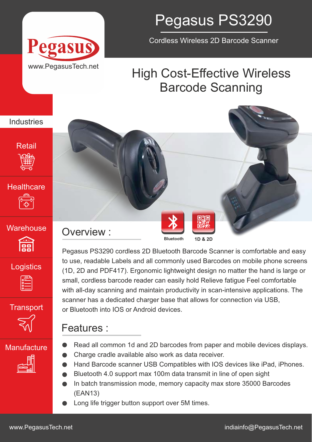



Cordless Wireless 2D Barcode Scanner

## High Cost-Effective Wireless Barcode Scanning



篇

**Logistics** 







## **Manufacture**



Pegasus PS3290 cordless 2D Bluetooth Barcode Scanner is comfortable and easy to use, readable Labels and all commonly used Barcodes on mobile phone screens (1D, 2D and PDF417). Ergonomic lightweight design no matter the hand is large or small, cordless barcode reader can easily hold Relieve fatigue Feel comfortable with all-day scanning and maintain productivity in scan-intensive applications. The scanner has a dedicated charger base that allows for connection via USB, Transport or Bluetooth into IOS or Android devices.

## Features :

- Read all common 1d and 2D barcodes from paper and mobile devices displays.
- Charge cradle available also work as data receiver.
- Hand Barcode scanner USB Compatibles with IOS devices like iPad, iPhones.
- Bluetooth 4.0 support max 100m data transmit in line of open sight  $\bullet$
- In batch transmission mode, memory capacity max store 35000 Barcodes (EAN13)
- Long life trigger button support over 5M times.